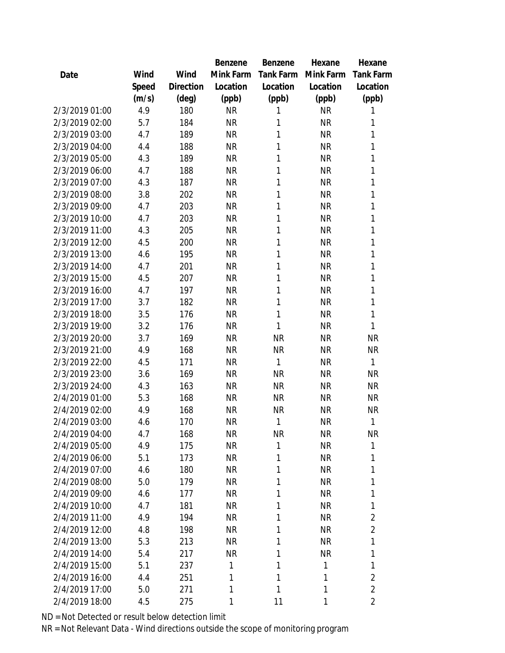|                |       |           | Benzene   | Benzene   | Hexane       | Hexane           |
|----------------|-------|-----------|-----------|-----------|--------------|------------------|
| Date           | Wind  | Wind      | Mink Farm | Tank Farm | Mink Farm    | <b>Tank Farm</b> |
|                | Speed | Direction | Location  | Location  | Location     | Location         |
|                | (m/s) | (deg)     | (ppb)     | (ppb)     | (ppb)        | (ppb)            |
| 2/3/2019 01:00 | 4.9   | 180       | <b>NR</b> | 1         | <b>NR</b>    | 1                |
| 2/3/2019 02:00 | 5.7   | 184       | <b>NR</b> | 1         | <b>NR</b>    | 1                |
| 2/3/2019 03:00 | 4.7   | 189       | <b>NR</b> | 1         | <b>NR</b>    | 1                |
| 2/3/2019 04:00 | 4.4   | 188       | <b>NR</b> | 1         | <b>NR</b>    | 1                |
| 2/3/2019 05:00 | 4.3   | 189       | <b>NR</b> | 1         | <b>NR</b>    | 1                |
| 2/3/2019 06:00 | 4.7   | 188       | <b>NR</b> | 1         | <b>NR</b>    | 1                |
| 2/3/2019 07:00 | 4.3   | 187       | <b>NR</b> | 1         | <b>NR</b>    | 1                |
| 2/3/2019 08:00 | 3.8   | 202       | <b>NR</b> | 1         | <b>NR</b>    | 1                |
| 2/3/2019 09:00 | 4.7   | 203       | <b>NR</b> | 1         | <b>NR</b>    | 1                |
| 2/3/2019 10:00 | 4.7   | 203       | <b>NR</b> | 1         | <b>NR</b>    | 1                |
| 2/3/2019 11:00 | 4.3   | 205       | <b>NR</b> | 1         | <b>NR</b>    | 1                |
| 2/3/2019 12:00 | 4.5   | 200       | <b>NR</b> | 1         | <b>NR</b>    | 1                |
| 2/3/2019 13:00 | 4.6   | 195       | <b>NR</b> | 1         | <b>NR</b>    | 1                |
| 2/3/2019 14:00 | 4.7   | 201       | <b>NR</b> | 1         | <b>NR</b>    | 1                |
| 2/3/2019 15:00 | 4.5   | 207       | <b>NR</b> | 1         | <b>NR</b>    | 1                |
| 2/3/2019 16:00 | 4.7   | 197       | <b>NR</b> | 1         | <b>NR</b>    | 1                |
| 2/3/2019 17:00 | 3.7   | 182       | <b>NR</b> | 1         | <b>NR</b>    | 1                |
| 2/3/2019 18:00 | 3.5   | 176       | <b>NR</b> | 1         | <b>NR</b>    | 1                |
| 2/3/2019 19:00 | 3.2   | 176       | <b>NR</b> | 1         | <b>NR</b>    | 1                |
| 2/3/2019 20:00 | 3.7   | 169       | <b>NR</b> | <b>NR</b> | <b>NR</b>    | <b>NR</b>        |
| 2/3/2019 21:00 | 4.9   | 168       | <b>NR</b> | <b>NR</b> | <b>NR</b>    | <b>NR</b>        |
| 2/3/2019 22:00 | 4.5   | 171       | <b>NR</b> | 1         | <b>NR</b>    | 1                |
| 2/3/2019 23:00 | 3.6   | 169       | <b>NR</b> | <b>NR</b> | <b>NR</b>    | <b>NR</b>        |
| 2/3/2019 24:00 | 4.3   | 163       | <b>NR</b> | <b>NR</b> | <b>NR</b>    | <b>NR</b>        |
| 2/4/2019 01:00 | 5.3   | 168       | <b>NR</b> | <b>NR</b> | <b>NR</b>    | <b>NR</b>        |
| 2/4/2019 02:00 | 4.9   | 168       | <b>NR</b> | <b>NR</b> | <b>NR</b>    | NR               |
| 2/4/2019 03:00 | 4.6   | 170       | <b>NR</b> | 1         | <b>NR</b>    | 1                |
| 2/4/2019 04:00 | 4.7   | 168       | <b>NR</b> | <b>NR</b> | <b>NR</b>    | <b>NR</b>        |
| 2/4/2019 05:00 | 4.9   | 175       | <b>NR</b> | 1         | <b>NR</b>    | 1                |
| 2/4/2019 06:00 | 5.1   | 173       | <b>NR</b> | 1         | <b>NR</b>    | 1                |
| 2/4/2019 07:00 | 4.6   | 180       | <b>NR</b> | 1         | <b>NR</b>    | 1                |
| 2/4/2019 08:00 | 5.0   | 179       | <b>NR</b> | 1         | <b>NR</b>    | 1                |
| 2/4/2019 09:00 | 4.6   | 177       | <b>NR</b> | 1         | <b>NR</b>    | 1                |
| 2/4/2019 10:00 | 4.7   | 181       | <b>NR</b> | 1         | <b>NR</b>    | 1                |
| 2/4/2019 11:00 | 4.9   | 194       | <b>NR</b> | 1         | <b>NR</b>    | $\overline{2}$   |
| 2/4/2019 12:00 | 4.8   | 198       | <b>NR</b> | 1         | <b>NR</b>    | $\overline{2}$   |
| 2/4/2019 13:00 | 5.3   | 213       | <b>NR</b> | 1         | <b>NR</b>    | 1                |
| 2/4/2019 14:00 | 5.4   | 217       | <b>NR</b> | 1         | <b>NR</b>    | 1                |
| 2/4/2019 15:00 | 5.1   | 237       | 1         | 1         | $\mathbf{1}$ | 1                |
| 2/4/2019 16:00 | 4.4   | 251       | 1         | 1         | 1            | $\overline{2}$   |
| 2/4/2019 17:00 | 5.0   | 271       | 1         | 1         | $\mathbf{1}$ | $\sqrt{2}$       |
| 2/4/2019 18:00 | 4.5   | 275       | 1         | 11        | 1            | $\overline{2}$   |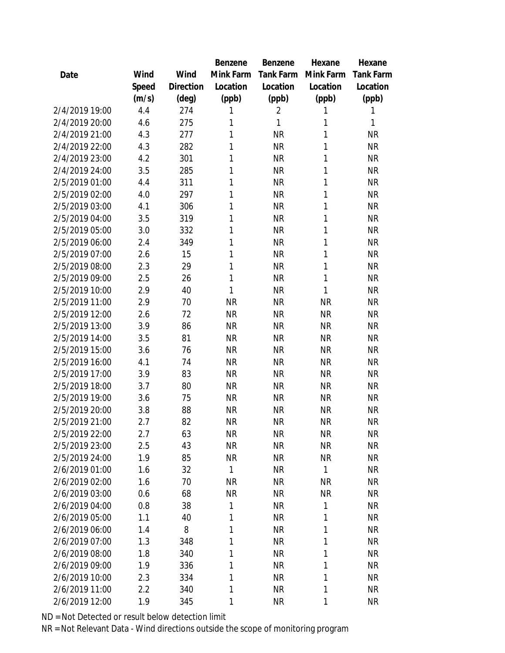|                |       |           | Benzene      | Benzene   | Hexane    | Hexane       |
|----------------|-------|-----------|--------------|-----------|-----------|--------------|
| Date           | Wind  | Wind      | Mink Farm    | Tank Farm | Mink Farm | Tank Farm    |
|                | Speed | Direction | Location     | Location  | Location  | Location     |
|                | (m/s) | (deg)     | (ppb)        | (ppb)     | (ppb)     | (ppb)        |
| 2/4/2019 19:00 | 4.4   | 274       | 1            | 2         | 1         | 1            |
| 2/4/2019 20:00 | 4.6   | 275       | 1            | 1         | 1         | $\mathbf{1}$ |
| 2/4/2019 21:00 | 4.3   | 277       | 1            | <b>NR</b> | 1         | <b>NR</b>    |
| 2/4/2019 22:00 | 4.3   | 282       | 1            | <b>NR</b> | 1         | <b>NR</b>    |
| 2/4/2019 23:00 | 4.2   | 301       | 1            | <b>NR</b> | 1         | <b>NR</b>    |
| 2/4/2019 24:00 | 3.5   | 285       | 1            | <b>NR</b> | 1         | <b>NR</b>    |
| 2/5/2019 01:00 | 4.4   | 311       | 1            | <b>NR</b> | 1         | <b>NR</b>    |
| 2/5/2019 02:00 | 4.0   | 297       | 1            | <b>NR</b> | 1         | <b>NR</b>    |
| 2/5/2019 03:00 | 4.1   | 306       | 1            | <b>NR</b> | 1         | <b>NR</b>    |
| 2/5/2019 04:00 | 3.5   | 319       | 1            | <b>NR</b> | 1         | <b>NR</b>    |
| 2/5/2019 05:00 | 3.0   | 332       | 1            | <b>NR</b> | 1         | <b>NR</b>    |
| 2/5/2019 06:00 | 2.4   | 349       | 1            | <b>NR</b> | 1         | <b>NR</b>    |
| 2/5/2019 07:00 | 2.6   | 15        | 1            | <b>NR</b> | 1         | <b>NR</b>    |
| 2/5/2019 08:00 | 2.3   | 29        | 1            | <b>NR</b> | 1         | <b>NR</b>    |
| 2/5/2019 09:00 | 2.5   | 26        | 1            | <b>NR</b> | 1         | <b>NR</b>    |
| 2/5/2019 10:00 | 2.9   | 40        | 1            | <b>NR</b> | 1         | <b>NR</b>    |
| 2/5/2019 11:00 | 2.9   | 70        | <b>NR</b>    | <b>NR</b> | <b>NR</b> | <b>NR</b>    |
| 2/5/2019 12:00 | 2.6   | 72        | <b>NR</b>    | <b>NR</b> | <b>NR</b> | <b>NR</b>    |
| 2/5/2019 13:00 | 3.9   | 86        | <b>NR</b>    | <b>NR</b> | <b>NR</b> | <b>NR</b>    |
| 2/5/2019 14:00 | 3.5   | 81        | <b>NR</b>    | <b>NR</b> | <b>NR</b> | <b>NR</b>    |
| 2/5/2019 15:00 | 3.6   | 76        | <b>NR</b>    | <b>NR</b> | <b>NR</b> | <b>NR</b>    |
| 2/5/2019 16:00 | 4.1   | 74        | <b>NR</b>    | <b>NR</b> | <b>NR</b> | <b>NR</b>    |
| 2/5/2019 17:00 | 3.9   | 83        | <b>NR</b>    | <b>NR</b> | <b>NR</b> | <b>NR</b>    |
| 2/5/2019 18:00 | 3.7   | 80        | <b>NR</b>    | <b>NR</b> | <b>NR</b> | <b>NR</b>    |
| 2/5/2019 19:00 | 3.6   | 75        | <b>NR</b>    | <b>NR</b> | <b>NR</b> | <b>NR</b>    |
| 2/5/2019 20:00 | 3.8   | 88        | <b>NR</b>    | <b>NR</b> | <b>NR</b> | <b>NR</b>    |
| 2/5/2019 21:00 | 2.7   | 82        | <b>NR</b>    | <b>NR</b> | <b>NR</b> | <b>NR</b>    |
| 2/5/2019 22:00 | 2.7   | 63        | <b>NR</b>    | <b>NR</b> | ΝR        | <b>NR</b>    |
| 2/5/2019 23:00 | 2.5   | 43        | <b>NR</b>    | <b>NR</b> | <b>NR</b> | <b>NR</b>    |
| 2/5/2019 24:00 | 1.9   | 85        | <b>NR</b>    | <b>NR</b> | <b>NR</b> | <b>NR</b>    |
| 2/6/2019 01:00 | 1.6   | 32        | $\mathbf{1}$ | <b>NR</b> | 1         | <b>NR</b>    |
| 2/6/2019 02:00 | 1.6   | 70        | <b>NR</b>    | <b>NR</b> | <b>NR</b> | <b>NR</b>    |
| 2/6/2019 03:00 | 0.6   | 68        | <b>NR</b>    | <b>NR</b> | ΝR        | <b>NR</b>    |
| 2/6/2019 04:00 | 0.8   | 38        | 1            | <b>NR</b> | 1         | <b>NR</b>    |
| 2/6/2019 05:00 | 1.1   | 40        | 1            | <b>NR</b> | 1         | <b>NR</b>    |
| 2/6/2019 06:00 | 1.4   | 8         | 1            | <b>NR</b> | 1         | <b>NR</b>    |
| 2/6/2019 07:00 | 1.3   | 348       | 1            | <b>NR</b> | 1         | <b>NR</b>    |
| 2/6/2019 08:00 | 1.8   | 340       | 1            | <b>NR</b> | 1         | <b>NR</b>    |
| 2/6/2019 09:00 | 1.9   | 336       | 1            | <b>NR</b> | 1         | <b>NR</b>    |
| 2/6/2019 10:00 | 2.3   | 334       | 1            | <b>NR</b> | 1         | NR           |
| 2/6/2019 11:00 | 2.2   | 340       | 1            | <b>NR</b> | 1         | <b>NR</b>    |
| 2/6/2019 12:00 | 1.9   | 345       | 1            | <b>NR</b> | 1         | <b>NR</b>    |
|                |       |           |              |           |           |              |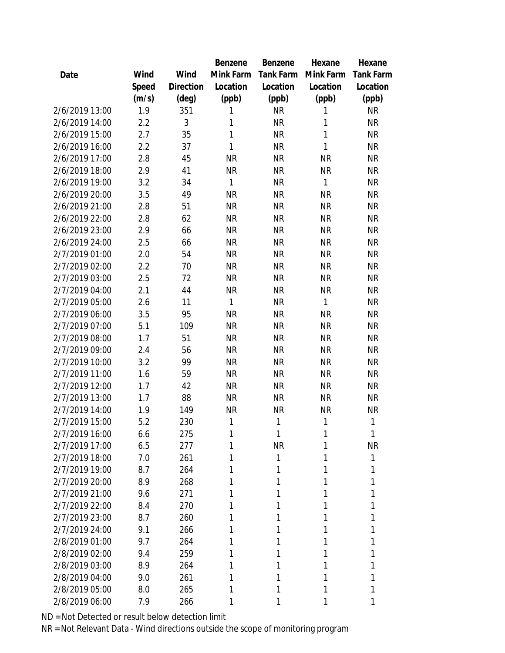|      |                |       |                | Benzene   | Benzene   | Hexane    | Hexane    |
|------|----------------|-------|----------------|-----------|-----------|-----------|-----------|
| Date |                | Wind  | Wind           | Mink Farm | Tank Farm | Mink Farm | Tank Farm |
|      |                | Speed | Direction      | Location  | Location  | Location  | Location  |
|      |                | (m/s) | $(\text{deg})$ | (ppb)     | (ppb)     | (ppb)     | (ppb)     |
|      | 2/6/2019 13:00 | 1.9   | 351            | 1         | <b>NR</b> | 1         | <b>NR</b> |
|      | 2/6/2019 14:00 | 2.2   | 3              | 1         | <b>NR</b> | 1         | <b>NR</b> |
|      | 2/6/2019 15:00 | 2.7   | 35             | 1         | <b>NR</b> | 1         | <b>NR</b> |
|      | 2/6/2019 16:00 | 2.2   | 37             | 1         | <b>NR</b> | 1         | <b>NR</b> |
|      | 2/6/2019 17:00 | 2.8   | 45             | <b>NR</b> | <b>NR</b> | <b>NR</b> | <b>NR</b> |
|      | 2/6/2019 18:00 | 2.9   | 41             | <b>NR</b> | <b>NR</b> | <b>NR</b> | <b>NR</b> |
|      | 2/6/2019 19:00 | 3.2   | 34             | 1         | <b>NR</b> | 1         | <b>NR</b> |
|      | 2/6/2019 20:00 | 3.5   | 49             | <b>NR</b> | <b>NR</b> | <b>NR</b> | <b>NR</b> |
|      | 2/6/2019 21:00 | 2.8   | 51             | <b>NR</b> | <b>NR</b> | <b>NR</b> | <b>NR</b> |
|      | 2/6/2019 22:00 | 2.8   | 62             | <b>NR</b> | <b>NR</b> | <b>NR</b> | <b>NR</b> |
|      | 2/6/2019 23:00 | 2.9   | 66             | <b>NR</b> | <b>NR</b> | <b>NR</b> | <b>NR</b> |
|      | 2/6/2019 24:00 | 2.5   | 66             | <b>NR</b> | <b>NR</b> | <b>NR</b> | <b>NR</b> |
|      | 2/7/2019 01:00 | 2.0   | 54             | <b>NR</b> | <b>NR</b> | <b>NR</b> | <b>NR</b> |
|      | 2/7/2019 02:00 | 2.2   | 70             | <b>NR</b> | <b>NR</b> | <b>NR</b> | <b>NR</b> |
|      | 2/7/2019 03:00 | 2.5   | 72             | <b>NR</b> | <b>NR</b> | <b>NR</b> | <b>NR</b> |
|      | 2/7/2019 04:00 | 2.1   | 44             | <b>NR</b> | <b>NR</b> | <b>NR</b> | <b>NR</b> |
|      | 2/7/2019 05:00 | 2.6   | 11             | 1         | <b>NR</b> | 1         | <b>NR</b> |
|      | 2/7/2019 06:00 | 3.5   | 95             | <b>NR</b> | <b>NR</b> | <b>NR</b> | <b>NR</b> |
|      | 2/7/2019 07:00 | 5.1   | 109            | <b>NR</b> | <b>NR</b> | <b>NR</b> | <b>NR</b> |
|      | 2/7/2019 08:00 | 1.7   | 51             | <b>NR</b> | <b>NR</b> | <b>NR</b> | <b>NR</b> |
|      | 2/7/2019 09:00 | 2.4   | 56             | <b>NR</b> | <b>NR</b> | <b>NR</b> | <b>NR</b> |
|      | 2/7/2019 10:00 | 3.2   | 99             | <b>NR</b> | <b>NR</b> | <b>NR</b> | <b>NR</b> |
|      | 2/7/2019 11:00 | 1.6   | 59             | <b>NR</b> | <b>NR</b> | <b>NR</b> | <b>NR</b> |
|      | 2/7/2019 12:00 | 1.7   | 42             | <b>NR</b> | <b>NR</b> | <b>NR</b> | <b>NR</b> |
|      | 2/7/2019 13:00 | 1.7   | 88             | <b>NR</b> | <b>NR</b> | <b>NR</b> | <b>NR</b> |
|      | 2/7/2019 14:00 | 1.9   | 149            | <b>NR</b> | <b>NR</b> | <b>NR</b> | <b>NR</b> |
|      | 2/7/2019 15:00 | 5.2   | 230            | 1         | 1         | 1         | 1         |
|      | 2/7/2019 16:00 | 6.6   | 275            | 1         | 1         | 1         | 1         |
|      | 2/7/2019 17:00 | 6.5   | 277            | 1         | <b>NR</b> | 1         | <b>NR</b> |
|      | 2/7/2019 18:00 | 7.0   | 261            | 1         | 1         | 1         | 1         |
|      | 2/7/2019 19:00 | 8.7   | 264            | 1         | 1         | 1         | 1         |
|      | 2/7/2019 20:00 | 8.9   | 268            | 1         | 1         | 1         | 1         |
|      | 2/7/2019 21:00 | 9.6   | 271            | 1         | 1         | 1         | 1         |
|      | 2/7/2019 22:00 | 8.4   | 270            | 1         | 1         | 1         | Τ         |
|      | 2/7/2019 23:00 | 8.7   | 260            | 1         | 1         | 1         |           |
|      | 2/7/2019 24:00 | 9.1   | 266            | 1         | 1         | 1         | 1         |
|      | 2/8/2019 01:00 | 9.7   | 264            | 1         | 1         | 1         | 1         |
|      | 2/8/2019 02:00 | 9.4   | 259            | 1         | 1         | 1         | 1         |
|      | 2/8/2019 03:00 | 8.9   | 264            | 1         | 1         | Τ         | Τ         |
|      | 2/8/2019 04:00 | 9.0   | 261            | 1         | 1         | 1         | 1         |
|      | 2/8/2019 05:00 | 8.0   | 265            | 1         | Τ         | 1         | Τ         |
|      | 2/8/2019 06:00 | 7.9   | 266            | 1         | 1         | 1         | 1         |